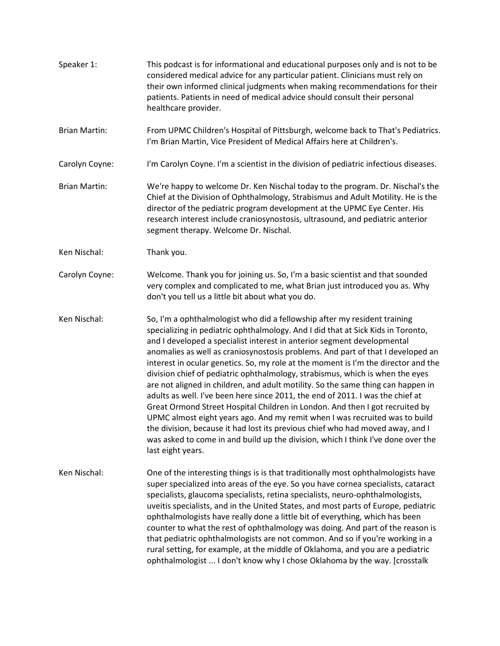- Speaker 1: This podcast is for informational and educational purposes only and is not to be considered medical advice for any particular patient. Clinicians must rely on their own informed clinical judgments when making recommendations for their patients. Patients in need of medical advice should consult their personal healthcare provider.
- Brian Martin: From UPMC Children's Hospital of Pittsburgh, welcome back to That's Pediatrics. I'm Brian Martin, Vice President of Medical Affairs here at Children's.
- Carolyn Coyne: I'm Carolyn Coyne. I'm a scientist in the division of pediatric infectious diseases.
- Brian Martin: We're happy to welcome Dr. Ken Nischal today to the program. Dr. Nischal's the Chief at the Division of Ophthalmology, Strabismus and Adult Motility. He is the director of the pediatric program development at the UPMC Eye Center. His research interest include craniosynostosis, ultrasound, and pediatric anterior segment therapy. Welcome Dr. Nischal.
- Ken Nischal: Thank you.
- Carolyn Coyne: Welcome. Thank you for joining us. So, I'm a basic scientist and that sounded very complex and complicated to me, what Brian just introduced you as. Why don't you tell us a little bit about what you do.
- Ken Nischal: So, I'm a ophthalmologist who did a fellowship after my resident training specializing in pediatric ophthalmology. And I did that at Sick Kids in Toronto, and I developed a specialist interest in anterior segment developmental anomalies as well as craniosynostosis problems. And part of that I developed an interest in ocular genetics. So, my role at the moment is I'm the director and the division chief of pediatric ophthalmology, strabismus, which is when the eyes are not aligned in children, and adult motility. So the same thing can happen in adults as well. I've been here since 2011, the end of 2011. I was the chief at Great Ormond Street Hospital Children in London. And then I got recruited by UPMC almost eight years ago. And my remit when I was recruited was to build the division, because it had lost its previous chief who had moved away, and I was asked to come in and build up the division, which I think I've done over the last eight years.
- Ken Nischal: One of the interesting things is is that traditionally most ophthalmologists have super specialized into areas of the eye. So you have cornea specialists, cataract specialists, glaucoma specialists, retina specialists, neuro-ophthalmologists, uveitis specialists, and in the United States, and most parts of Europe, pediatric ophthalmologists have really done a little bit of everything, which has been counter to what the rest of ophthalmology was doing. And part of the reason is that pediatric ophthalmologists are not common. And so if you're working in a rural setting, for example, at the middle of Oklahoma, and you are a pediatric ophthalmologist ... I don't know why I chose Oklahoma by the way. [crosstalk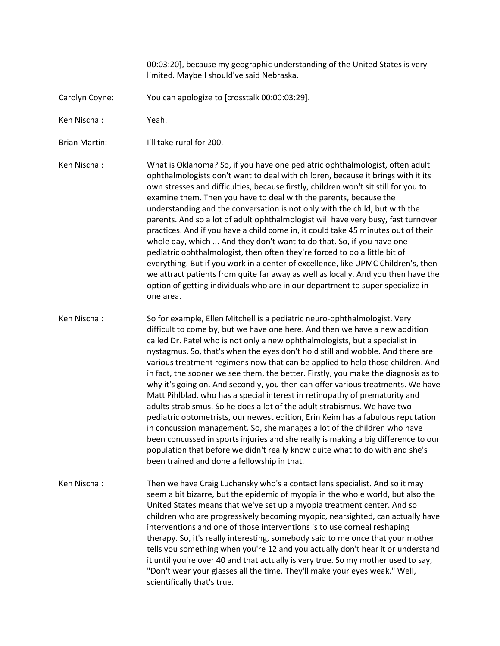00:03:20], because my geographic understanding of the United States is very limited. Maybe I should've said Nebraska.

- Carolyn Coyne: You can apologize to [crosstalk 00:00:03:29].
- Ken Nischal: Yeah.
- Brian Martin: I'll take rural for 200.

Ken Nischal: What is Oklahoma? So, if you have one pediatric ophthalmologist, often adult ophthalmologists don't want to deal with children, because it brings with it its own stresses and difficulties, because firstly, children won't sit still for you to examine them. Then you have to deal with the parents, because the understanding and the conversation is not only with the child, but with the parents. And so a lot of adult ophthalmologist will have very busy, fast turnover practices. And if you have a child come in, it could take 45 minutes out of their whole day, which ... And they don't want to do that. So, if you have one pediatric ophthalmologist, then often they're forced to do a little bit of everything. But if you work in a center of excellence, like UPMC Children's, then we attract patients from quite far away as well as locally. And you then have the option of getting individuals who are in our department to super specialize in one area.

- Ken Nischal: So for example, Ellen Mitchell is a pediatric neuro-ophthalmologist. Very difficult to come by, but we have one here. And then we have a new addition called Dr. Patel who is not only a new ophthalmologists, but a specialist in nystagmus. So, that's when the eyes don't hold still and wobble. And there are various treatment regimens now that can be applied to help those children. And in fact, the sooner we see them, the better. Firstly, you make the diagnosis as to why it's going on. And secondly, you then can offer various treatments. We have Matt Pihlblad, who has a special interest in retinopathy of prematurity and adults strabismus. So he does a lot of the adult strabismus. We have two pediatric optometrists, our newest edition, Erin Keim has a fabulous reputation in concussion management. So, she manages a lot of the children who have been concussed in sports injuries and she really is making a big difference to our population that before we didn't really know quite what to do with and she's been trained and done a fellowship in that.
- Ken Nischal: Then we have Craig Luchansky who's a contact lens specialist. And so it may seem a bit bizarre, but the epidemic of myopia in the whole world, but also the United States means that we've set up a myopia treatment center. And so children who are progressively becoming myopic, nearsighted, can actually have interventions and one of those interventions is to use corneal reshaping therapy. So, it's really interesting, somebody said to me once that your mother tells you something when you're 12 and you actually don't hear it or understand it until you're over 40 and that actually is very true. So my mother used to say, "Don't wear your glasses all the time. They'll make your eyes weak." Well, scientifically that's true.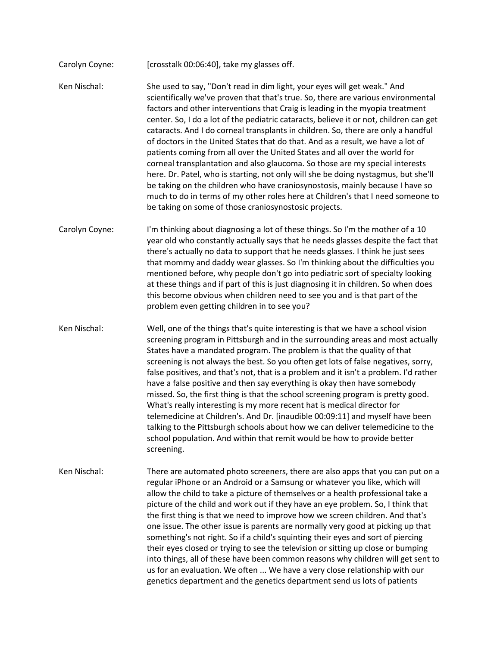- Carolyn Coyne: [crosstalk 00:06:40], take my glasses off.
- Ken Nischal: She used to say, "Don't read in dim light, your eyes will get weak." And scientifically we've proven that that's true. So, there are various environmental factors and other interventions that Craig is leading in the myopia treatment center. So, I do a lot of the pediatric cataracts, believe it or not, children can get cataracts. And I do corneal transplants in children. So, there are only a handful of doctors in the United States that do that. And as a result, we have a lot of patients coming from all over the United States and all over the world for corneal transplantation and also glaucoma. So those are my special interests here. Dr. Patel, who is starting, not only will she be doing nystagmus, but she'll be taking on the children who have craniosynostosis, mainly because I have so much to do in terms of my other roles here at Children's that I need someone to be taking on some of those craniosynostosic projects.
- Carolyn Coyne: I'm thinking about diagnosing a lot of these things. So I'm the mother of a 10 year old who constantly actually says that he needs glasses despite the fact that there's actually no data to support that he needs glasses. I think he just sees that mommy and daddy wear glasses. So I'm thinking about the difficulties you mentioned before, why people don't go into pediatric sort of specialty looking at these things and if part of this is just diagnosing it in children. So when does this become obvious when children need to see you and is that part of the problem even getting children in to see you?
- Ken Nischal: Well, one of the things that's quite interesting is that we have a school vision screening program in Pittsburgh and in the surrounding areas and most actually States have a mandated program. The problem is that the quality of that screening is not always the best. So you often get lots of false negatives, sorry, false positives, and that's not, that is a problem and it isn't a problem. I'd rather have a false positive and then say everything is okay then have somebody missed. So, the first thing is that the school screening program is pretty good. What's really interesting is my more recent hat is medical director for telemedicine at Children's. And Dr. [inaudible 00:09:11] and myself have been talking to the Pittsburgh schools about how we can deliver telemedicine to the school population. And within that remit would be how to provide better screening.
- Ken Nischal: There are automated photo screeners, there are also apps that you can put on a regular iPhone or an Android or a Samsung or whatever you like, which will allow the child to take a picture of themselves or a health professional take a picture of the child and work out if they have an eye problem. So, I think that the first thing is that we need to improve how we screen children. And that's one issue. The other issue is parents are normally very good at picking up that something's not right. So if a child's squinting their eyes and sort of piercing their eyes closed or trying to see the television or sitting up close or bumping into things, all of these have been common reasons why children will get sent to us for an evaluation. We often ... We have a very close relationship with our genetics department and the genetics department send us lots of patients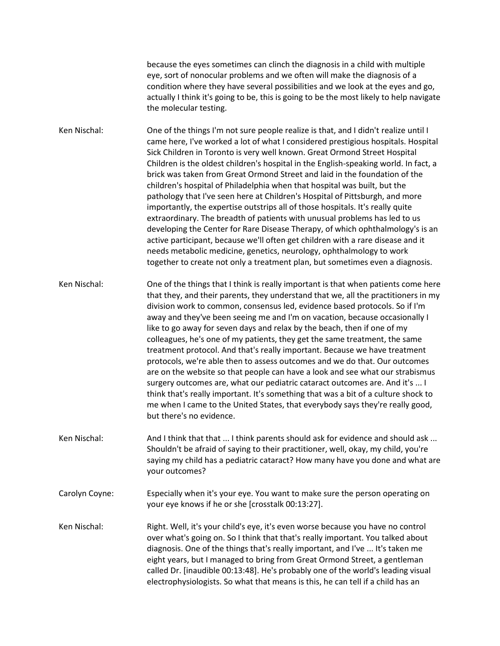because the eyes sometimes can clinch the diagnosis in a child with multiple eye, sort of nonocular problems and we often will make the diagnosis of a condition where they have several possibilities and we look at the eyes and go, actually I think it's going to be, this is going to be the most likely to help navigate the molecular testing.

Ken Nischal: One of the things I'm not sure people realize is that, and I didn't realize until I came here, I've worked a lot of what I considered prestigious hospitals. Hospital Sick Children in Toronto is very well known. Great Ormond Street Hospital Children is the oldest children's hospital in the English-speaking world. In fact, a brick was taken from Great Ormond Street and laid in the foundation of the children's hospital of Philadelphia when that hospital was built, but the pathology that I've seen here at Children's Hospital of Pittsburgh, and more importantly, the expertise outstrips all of those hospitals. It's really quite extraordinary. The breadth of patients with unusual problems has led to us developing the Center for Rare Disease Therapy, of which ophthalmology's is an active participant, because we'll often get children with a rare disease and it needs metabolic medicine, genetics, neurology, ophthalmology to work together to create not only a treatment plan, but sometimes even a diagnosis.

Ken Nischal: One of the things that I think is really important is that when patients come here that they, and their parents, they understand that we, all the practitioners in my division work to common, consensus led, evidence based protocols. So if I'm away and they've been seeing me and I'm on vacation, because occasionally I like to go away for seven days and relax by the beach, then if one of my colleagues, he's one of my patients, they get the same treatment, the same treatment protocol. And that's really important. Because we have treatment protocols, we're able then to assess outcomes and we do that. Our outcomes are on the website so that people can have a look and see what our strabismus surgery outcomes are, what our pediatric cataract outcomes are. And it's ... I think that's really important. It's something that was a bit of a culture shock to me when I came to the United States, that everybody says they're really good, but there's no evidence.

Ken Nischal: And I think that that ... I think parents should ask for evidence and should ask ... Shouldn't be afraid of saying to their practitioner, well, okay, my child, you're saying my child has a pediatric cataract? How many have you done and what are your outcomes?

Carolyn Coyne: Especially when it's your eye. You want to make sure the person operating on your eye knows if he or she [crosstalk 00:13:27].

Ken Nischal: Right. Well, it's your child's eye, it's even worse because you have no control over what's going on. So I think that that's really important. You talked about diagnosis. One of the things that's really important, and I've ... It's taken me eight years, but I managed to bring from Great Ormond Street, a gentleman called Dr. [inaudible 00:13:48]. He's probably one of the world's leading visual electrophysiologists. So what that means is this, he can tell if a child has an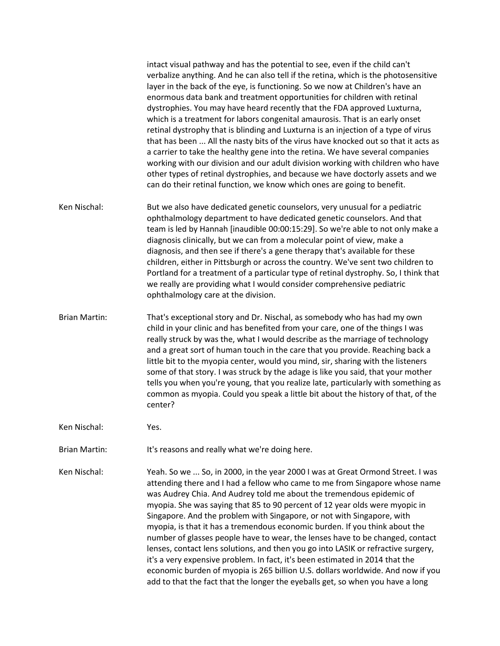|                      | intact visual pathway and has the potential to see, even if the child can't<br>verbalize anything. And he can also tell if the retina, which is the photosensitive<br>layer in the back of the eye, is functioning. So we now at Children's have an<br>enormous data bank and treatment opportunities for children with retinal<br>dystrophies. You may have heard recently that the FDA approved Luxturna,<br>which is a treatment for labors congenital amaurosis. That is an early onset<br>retinal dystrophy that is blinding and Luxturna is an injection of a type of virus<br>that has been  All the nasty bits of the virus have knocked out so that it acts as<br>a carrier to take the healthy gene into the retina. We have several companies<br>working with our division and our adult division working with children who have<br>other types of retinal dystrophies, and because we have doctorly assets and we<br>can do their retinal function, we know which ones are going to benefit. |
|----------------------|----------------------------------------------------------------------------------------------------------------------------------------------------------------------------------------------------------------------------------------------------------------------------------------------------------------------------------------------------------------------------------------------------------------------------------------------------------------------------------------------------------------------------------------------------------------------------------------------------------------------------------------------------------------------------------------------------------------------------------------------------------------------------------------------------------------------------------------------------------------------------------------------------------------------------------------------------------------------------------------------------------|
| Ken Nischal:         | But we also have dedicated genetic counselors, very unusual for a pediatric<br>ophthalmology department to have dedicated genetic counselors. And that<br>team is led by Hannah [inaudible 00:00:15:29]. So we're able to not only make a<br>diagnosis clinically, but we can from a molecular point of view, make a<br>diagnosis, and then see if there's a gene therapy that's available for these<br>children, either in Pittsburgh or across the country. We've sent two children to<br>Portland for a treatment of a particular type of retinal dystrophy. So, I think that<br>we really are providing what I would consider comprehensive pediatric<br>ophthalmology care at the division.                                                                                                                                                                                                                                                                                                         |
| <b>Brian Martin:</b> | That's exceptional story and Dr. Nischal, as somebody who has had my own<br>child in your clinic and has benefited from your care, one of the things I was<br>really struck by was the, what I would describe as the marriage of technology<br>and a great sort of human touch in the care that you provide. Reaching back a<br>little bit to the myopia center, would you mind, sir, sharing with the listeners<br>some of that story. I was struck by the adage is like you said, that your mother<br>tells you when you're young, that you realize late, particularly with something as<br>common as myopia. Could you speak a little bit about the history of that, of the<br>center?                                                                                                                                                                                                                                                                                                                |
| Ken Nischal:         | Yes.                                                                                                                                                                                                                                                                                                                                                                                                                                                                                                                                                                                                                                                                                                                                                                                                                                                                                                                                                                                                     |

Brian Martin: It's reasons and really what we're doing here.

Ken Nischal: Yeah. So we ... So, in 2000, in the year 2000 I was at Great Ormond Street. I was attending there and I had a fellow who came to me from Singapore whose name was Audrey Chia. And Audrey told me about the tremendous epidemic of myopia. She was saying that 85 to 90 percent of 12 year olds were myopic in Singapore. And the problem with Singapore, or not with Singapore, with myopia, is that it has a tremendous economic burden. If you think about the number of glasses people have to wear, the lenses have to be changed, contact lenses, contact lens solutions, and then you go into LASIK or refractive surgery, it's a very expensive problem. In fact, it's been estimated in 2014 that the economic burden of myopia is 265 billion U.S. dollars worldwide. And now if you add to that the fact that the longer the eyeballs get, so when you have a long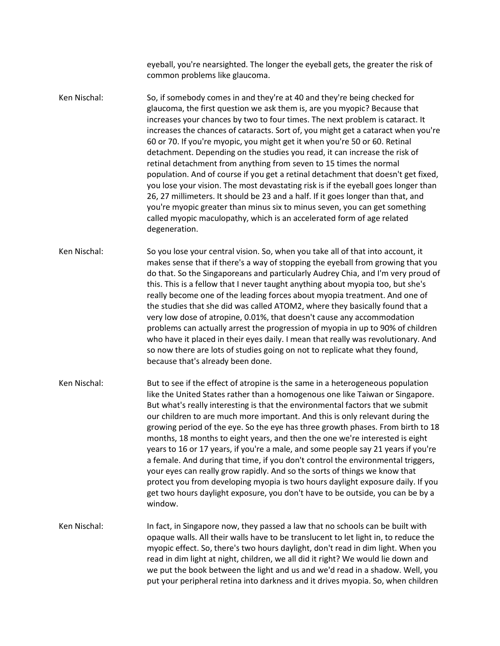eyeball, you're nearsighted. The longer the eyeball gets, the greater the risk of common problems like glaucoma.

Ken Nischal: So, if somebody comes in and they're at 40 and they're being checked for glaucoma, the first question we ask them is, are you myopic? Because that increases your chances by two to four times. The next problem is cataract. It increases the chances of cataracts. Sort of, you might get a cataract when you're 60 or 70. If you're myopic, you might get it when you're 50 or 60. Retinal detachment. Depending on the studies you read, it can increase the risk of retinal detachment from anything from seven to 15 times the normal population. And of course if you get a retinal detachment that doesn't get fixed, you lose your vision. The most devastating risk is if the eyeball goes longer than 26, 27 millimeters. It should be 23 and a half. If it goes longer than that, and you're myopic greater than minus six to minus seven, you can get something called myopic maculopathy, which is an accelerated form of age related degeneration.

Ken Nischal: So you lose your central vision. So, when you take all of that into account, it makes sense that if there's a way of stopping the eyeball from growing that you do that. So the Singaporeans and particularly Audrey Chia, and I'm very proud of this. This is a fellow that I never taught anything about myopia too, but she's really become one of the leading forces about myopia treatment. And one of the studies that she did was called ATOM2, where they basically found that a very low dose of atropine, 0.01%, that doesn't cause any accommodation problems can actually arrest the progression of myopia in up to 90% of children who have it placed in their eyes daily. I mean that really was revolutionary. And so now there are lots of studies going on not to replicate what they found, because that's already been done.

Ken Nischal: But to see if the effect of atropine is the same in a heterogeneous population like the United States rather than a homogenous one like Taiwan or Singapore. But what's really interesting is that the environmental factors that we submit our children to are much more important. And this is only relevant during the growing period of the eye. So the eye has three growth phases. From birth to 18 months, 18 months to eight years, and then the one we're interested is eight years to 16 or 17 years, if you're a male, and some people say 21 years if you're a female. And during that time, if you don't control the environmental triggers, your eyes can really grow rapidly. And so the sorts of things we know that protect you from developing myopia is two hours daylight exposure daily. If you get two hours daylight exposure, you don't have to be outside, you can be by a window.

Ken Nischal: In fact, in Singapore now, they passed a law that no schools can be built with opaque walls. All their walls have to be translucent to let light in, to reduce the myopic effect. So, there's two hours daylight, don't read in dim light. When you read in dim light at night, children, we all did it right? We would lie down and we put the book between the light and us and we'd read in a shadow. Well, you put your peripheral retina into darkness and it drives myopia. So, when children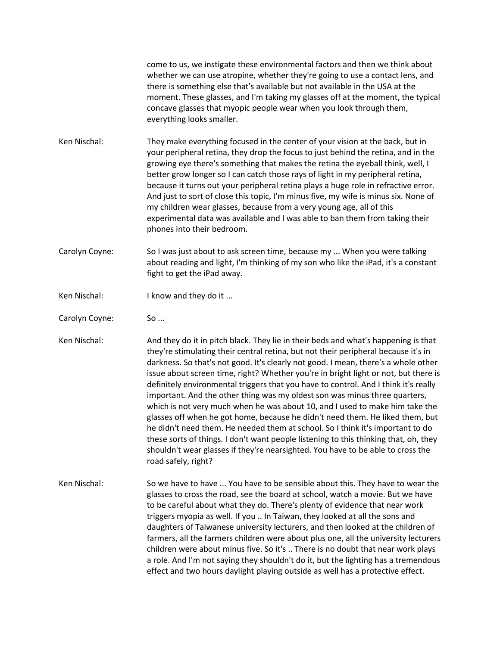come to us, we instigate these environmental factors and then we think about whether we can use atropine, whether they're going to use a contact lens, and there is something else that's available but not available in the USA at the moment. These glasses, and I'm taking my glasses off at the moment, the typical concave glasses that myopic people wear when you look through them, everything looks smaller.

- Ken Nischal: They make everything focused in the center of your vision at the back, but in your peripheral retina, they drop the focus to just behind the retina, and in the growing eye there's something that makes the retina the eyeball think, well, I better grow longer so I can catch those rays of light in my peripheral retina, because it turns out your peripheral retina plays a huge role in refractive error. And just to sort of close this topic, I'm minus five, my wife is minus six. None of my children wear glasses, because from a very young age, all of this experimental data was available and I was able to ban them from taking their phones into their bedroom.
- Carolyn Coyne: So I was just about to ask screen time, because my ... When you were talking about reading and light, I'm thinking of my son who like the iPad, it's a constant fight to get the iPad away.
- Ken Nischal: I know and they do it ...
- Carolyn Coyne: So ...

Ken Nischal: And they do it in pitch black. They lie in their beds and what's happening is that they're stimulating their central retina, but not their peripheral because it's in darkness. So that's not good. It's clearly not good. I mean, there's a whole other issue about screen time, right? Whether you're in bright light or not, but there is definitely environmental triggers that you have to control. And I think it's really important. And the other thing was my oldest son was minus three quarters, which is not very much when he was about 10, and I used to make him take the glasses off when he got home, because he didn't need them. He liked them, but he didn't need them. He needed them at school. So I think it's important to do these sorts of things. I don't want people listening to this thinking that, oh, they shouldn't wear glasses if they're nearsighted. You have to be able to cross the road safely, right?

Ken Nischal: So we have to have ... You have to be sensible about this. They have to wear the glasses to cross the road, see the board at school, watch a movie. But we have to be careful about what they do. There's plenty of evidence that near work triggers myopia as well. If you .. In Taiwan, they looked at all the sons and daughters of Taiwanese university lecturers, and then looked at the children of farmers, all the farmers children were about plus one, all the university lecturers children were about minus five. So it's .. There is no doubt that near work plays a role. And I'm not saying they shouldn't do it, but the lighting has a tremendous effect and two hours daylight playing outside as well has a protective effect.